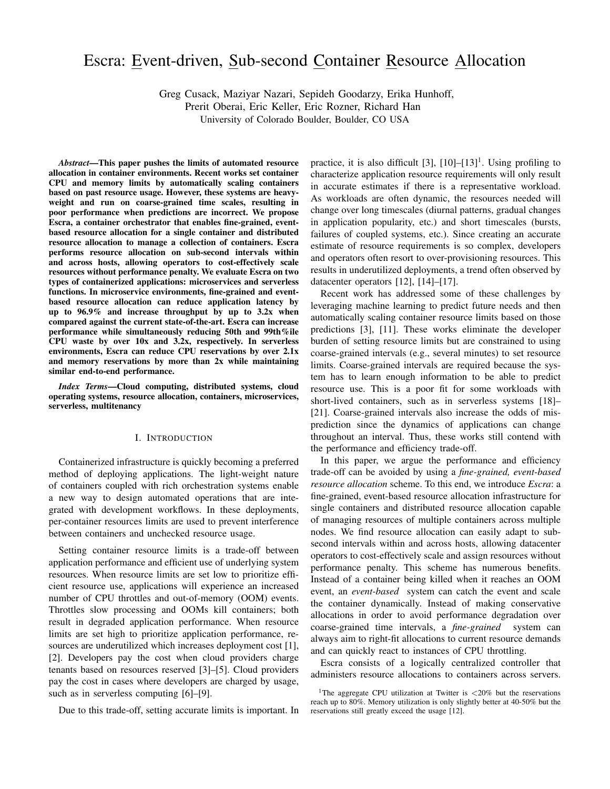# Escra: Event-driven, Sub-second Container Resource Allocation

Greg Cusack, Maziyar Nazari, Sepideh Goodarzy, Erika Hunhoff,

Prerit Oberai, Eric Keller, Eric Rozner, Richard Han

University of Colorado Boulder, Boulder, CO USA

*Abstract*—This paper pushes the limits of automated resource allocation in container environments. Recent works set container CPU and memory limits by automatically scaling containers based on past resource usage. However, these systems are heavyweight and run on coarse-grained time scales, resulting in poor performance when predictions are incorrect. We propose Escra, a container orchestrator that enables fine-grained, eventbased resource allocation for a single container and distributed resource allocation to manage a collection of containers. Escra performs resource allocation on sub-second intervals within and across hosts, allowing operators to cost-effectively scale resources without performance penalty. We evaluate Escra on two types of containerized applications: microservices and serverless functions. In microservice environments, fine-grained and eventbased resource allocation can reduce application latency by up to 96.9% and increase throughput by up to 3.2x when compared against the current state-of-the-art. Escra can increase performance while simultaneously reducing 50th and 99th%ile CPU waste by over 10x and 3.2x, respectively. In serverless environments, Escra can reduce CPU reservations by over 2.1x and memory reservations by more than 2x while maintaining similar end-to-end performance.

*Index Terms*—Cloud computing, distributed systems, cloud operating systems, resource allocation, containers, microservices, serverless, multitenancy

# I. INTRODUCTION

Containerized infrastructure is quickly becoming a preferred method of deploying applications. The light-weight nature of containers coupled with rich orchestration systems enable a new way to design automated operations that are integrated with development workflows. In these deployments, per-container resources limits are used to prevent interference between containers and unchecked resource usage.

Setting container resource limits is a trade-off between application performance and efficient use of underlying system resources. When resource limits are set low to prioritize efficient resource use, applications will experience an increased number of CPU throttles and out-of-memory (OOM) events. Throttles slow processing and OOMs kill containers; both result in degraded application performance. When resource limits are set high to prioritize application performance, resources are underutilized which increases deployment cost [1], [2]. Developers pay the cost when cloud providers charge tenants based on resources reserved [3]–[5]. Cloud providers pay the cost in cases where developers are charged by usage, such as in serverless computing [6]–[9].

Due to this trade-off, setting accurate limits is important. In

practice, it is also difficult  $[3]$ ,  $[10]$ - $[13]$ <sup>1</sup>. Using profiling to characterize application resource requirements will only result in accurate estimates if there is a representative workload. As workloads are often dynamic, the resources needed will change over long timescales (diurnal patterns, gradual changes in application popularity, etc.) and short timescales (bursts, failures of coupled systems, etc.). Since creating an accurate estimate of resource requirements is so complex, developers and operators often resort to over-provisioning resources. This results in underutilized deployments, a trend often observed by datacenter operators [12], [14]–[17].

Recent work has addressed some of these challenges by leveraging machine learning to predict future needs and then automatically scaling container resource limits based on those predictions [3], [11]. These works eliminate the developer burden of setting resource limits but are constrained to using coarse-grained intervals (e.g., several minutes) to set resource limits. Coarse-grained intervals are required because the system has to learn enough information to be able to predict resource use. This is a poor fit for some workloads with short-lived containers, such as in serverless systems [18]– [21]. Coarse-grained intervals also increase the odds of misprediction since the dynamics of applications can change throughout an interval. Thus, these works still contend with the performance and efficiency trade-off.

In this paper, we argue the performance and efficiency trade-off can be avoided by using a *fine-grained, event-based resource allocation* scheme. To this end, we introduce *Escra*: a fine-grained, event-based resource allocation infrastructure for single containers and distributed resource allocation capable of managing resources of multiple containers across multiple nodes. We find resource allocation can easily adapt to subsecond intervals within and across hosts, allowing datacenter operators to cost-effectively scale and assign resources without performance penalty. This scheme has numerous benefits. Instead of a container being killed when it reaches an OOM event, an *event-based* system can catch the event and scale the container dynamically. Instead of making conservative allocations in order to avoid performance degradation over coarse-grained time intervals, a *fine-grained* system can always aim to right-fit allocations to current resource demands and can quickly react to instances of CPU throttling.

Escra consists of a logically centralized controller that administers resource allocations to containers across servers.

<sup>&</sup>lt;sup>1</sup>The aggregate CPU utilization at Twitter is  $\langle 20\%$  but the reservations reach up to 80%. Memory utilization is only slightly better at 40-50% but the reservations still greatly exceed the usage [12].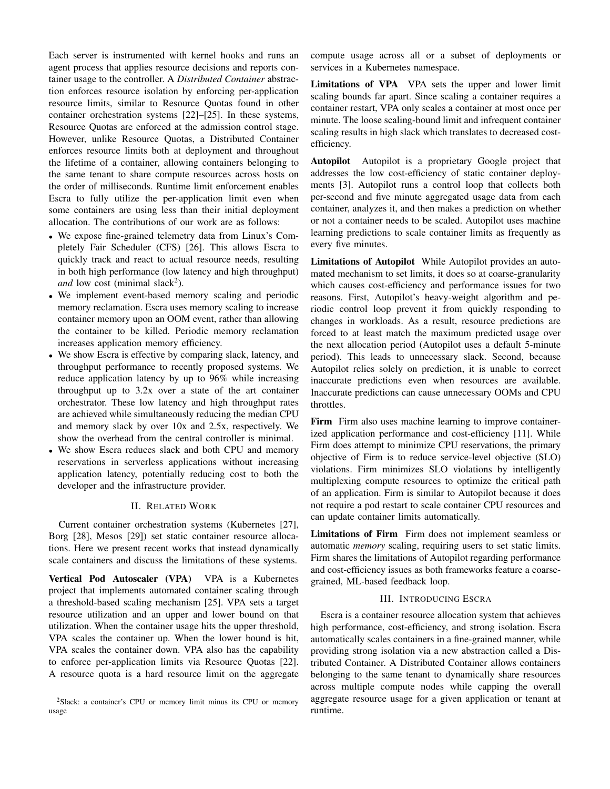Each server is instrumented with kernel hooks and runs an agent process that applies resource decisions and reports container usage to the controller. A *Distributed Container* abstraction enforces resource isolation by enforcing per-application resource limits, similar to Resource Quotas found in other container orchestration systems [22]–[25]. In these systems, Resource Quotas are enforced at the admission control stage. However, unlike Resource Quotas, a Distributed Container enforces resource limits both at deployment and throughout the lifetime of a container, allowing containers belonging to the same tenant to share compute resources across hosts on the order of milliseconds. Runtime limit enforcement enables Escra to fully utilize the per-application limit even when some containers are using less than their initial deployment allocation. The contributions of our work are as follows:

- We expose fine-grained telemetry data from Linux's Completely Fair Scheduler (CFS) [26]. This allows Escra to quickly track and react to actual resource needs, resulting in both high performance (low latency and high throughput) *and* low cost (minimal slack<sup>2</sup>).
- We implement event-based memory scaling and periodic memory reclamation. Escra uses memory scaling to increase container memory upon an OOM event, rather than allowing the container to be killed. Periodic memory reclamation increases application memory efficiency.
- We show Escra is effective by comparing slack, latency, and throughput performance to recently proposed systems. We reduce application latency by up to 96% while increasing throughput up to 3.2x over a state of the art container orchestrator. These low latency and high throughput rates are achieved while simultaneously reducing the median CPU and memory slack by over 10x and 2.5x, respectively. We show the overhead from the central controller is minimal.
- We show Escra reduces slack and both CPU and memory reservations in serverless applications without increasing application latency, potentially reducing cost to both the developer and the infrastructure provider.

# II. RELATED WORK

Current container orchestration systems (Kubernetes [27], Borg [28], Mesos [29]) set static container resource allocations. Here we present recent works that instead dynamically scale containers and discuss the limitations of these systems.

Vertical Pod Autoscaler (VPA) VPA is a Kubernetes project that implements automated container scaling through a threshold-based scaling mechanism [25]. VPA sets a target resource utilization and an upper and lower bound on that utilization. When the container usage hits the upper threshold, VPA scales the container up. When the lower bound is hit, VPA scales the container down. VPA also has the capability to enforce per-application limits via Resource Quotas [22]. A resource quota is a hard resource limit on the aggregate

<sup>2</sup>Slack: a container's CPU or memory limit minus its CPU or memory usage

compute usage across all or a subset of deployments or services in a Kubernetes namespace.

Limitations of VPA VPA sets the upper and lower limit scaling bounds far apart. Since scaling a container requires a container restart, VPA only scales a container at most once per minute. The loose scaling-bound limit and infrequent container scaling results in high slack which translates to decreased costefficiency.

Autopilot Autopilot is a proprietary Google project that addresses the low cost-efficiency of static container deployments [3]. Autopilot runs a control loop that collects both per-second and five minute aggregated usage data from each container, analyzes it, and then makes a prediction on whether or not a container needs to be scaled. Autopilot uses machine learning predictions to scale container limits as frequently as every five minutes.

Limitations of Autopilot While Autopilot provides an automated mechanism to set limits, it does so at coarse-granularity which causes cost-efficiency and performance issues for two reasons. First, Autopilot's heavy-weight algorithm and periodic control loop prevent it from quickly responding to changes in workloads. As a result, resource predictions are forced to at least match the maximum predicted usage over the next allocation period (Autopilot uses a default 5-minute period). This leads to unnecessary slack. Second, because Autopilot relies solely on prediction, it is unable to correct inaccurate predictions even when resources are available. Inaccurate predictions can cause unnecessary OOMs and CPU throttles.

Firm Firm also uses machine learning to improve containerized application performance and cost-efficiency [11]. While Firm does attempt to minimize CPU reservations, the primary objective of Firm is to reduce service-level objective (SLO) violations. Firm minimizes SLO violations by intelligently multiplexing compute resources to optimize the critical path of an application. Firm is similar to Autopilot because it does not require a pod restart to scale container CPU resources and can update container limits automatically.

Limitations of Firm Firm does not implement seamless or automatic *memory* scaling, requiring users to set static limits. Firm shares the limitations of Autopilot regarding performance and cost-efficiency issues as both frameworks feature a coarsegrained, ML-based feedback loop.

# III. INTRODUCING ESCRA

Escra is a container resource allocation system that achieves high performance, cost-efficiency, and strong isolation. Escra automatically scales containers in a fine-grained manner, while providing strong isolation via a new abstraction called a Distributed Container. A Distributed Container allows containers belonging to the same tenant to dynamically share resources across multiple compute nodes while capping the overall aggregate resource usage for a given application or tenant at runtime.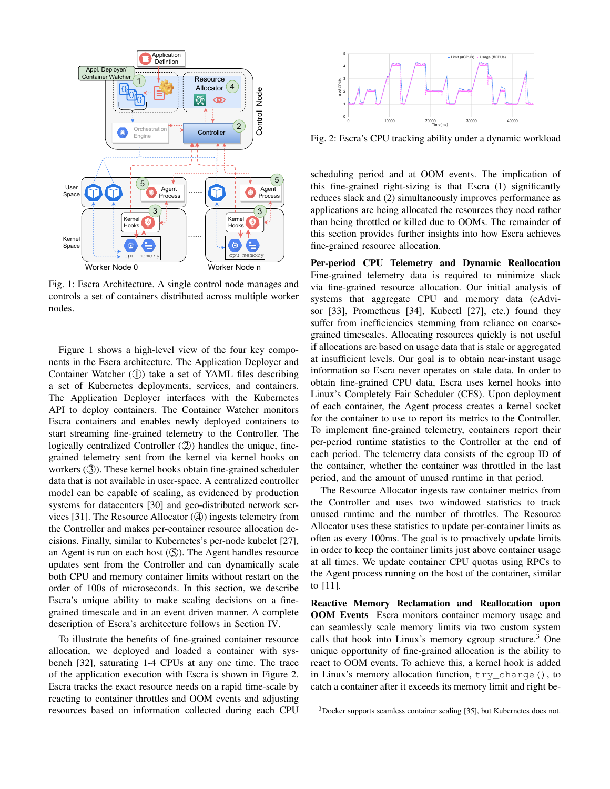

Fig. 1: Escra Architecture. A single control node manages and controls a set of containers distributed across multiple worker nodes.

Figure 1 shows a high-level view of the four key components in the Escra architecture. The Application Deployer and Container Watcher  $($ (1)) take a set of YAML files describing a set of Kubernetes deployments, services, and containers. The Application Deployer interfaces with the Kubernetes API to deploy containers. The Container Watcher monitors Escra containers and enables newly deployed containers to start streaming fine-grained telemetry to the Controller. The logically centralized Controller  $(2)$ ) handles the unique, finegrained telemetry sent from the kernel via kernel hooks on workers  $(3)$ . These kernel hooks obtain fine-grained scheduler data that is not available in user-space. A centralized controller model can be capable of scaling, as evidenced by production systems for datacenters [30] and geo-distributed network services [31]. The Resource Allocator  $(\mathcal{A})$  ingests telemetry from the Controller and makes per-container resource allocation decisions. Finally, similar to Kubernetes's per-node kubelet [27], an Agent is run on each host  $(\mathcal{S})$ . The Agent handles resource updates sent from the Controller and can dynamically scale both CPU and memory container limits without restart on the order of 100s of microseconds. In this section, we describe Escra's unique ability to make scaling decisions on a finegrained timescale and in an event driven manner. A complete description of Escra's architecture follows in Section IV.

To illustrate the benefits of fine-grained container resource allocation, we deployed and loaded a container with sysbench [32], saturating 1-4 CPUs at any one time. The trace of the application execution with Escra is shown in Figure 2. Escra tracks the exact resource needs on a rapid time-scale by reacting to container throttles and OOM events and adjusting resources based on information collected during each CPU



Fig. 2: Escra's CPU tracking ability under a dynamic workload

scheduling period and at OOM events. The implication of this fine-grained right-sizing is that Escra (1) significantly reduces slack and (2) simultaneously improves performance as applications are being allocated the resources they need rather than being throttled or killed due to OOMs. The remainder of this section provides further insights into how Escra achieves fine-grained resource allocation.

Per-period CPU Telemetry and Dynamic Reallocation Fine-grained telemetry data is required to minimize slack via fine-grained resource allocation. Our initial analysis of systems that aggregate CPU and memory data (cAdvisor [33], Prometheus [34], Kubectl [27], etc.) found they suffer from inefficiencies stemming from reliance on coarsegrained timescales. Allocating resources quickly is not useful if allocations are based on usage data that is stale or aggregated at insufficient levels. Our goal is to obtain near-instant usage information so Escra never operates on stale data. In order to obtain fine-grained CPU data, Escra uses kernel hooks into Linux's Completely Fair Scheduler (CFS). Upon deployment of each container, the Agent process creates a kernel socket for the container to use to report its metrics to the Controller. To implement fine-grained telemetry, containers report their per-period runtime statistics to the Controller at the end of each period. The telemetry data consists of the cgroup ID of the container, whether the container was throttled in the last period, and the amount of unused runtime in that period.

The Resource Allocator ingests raw container metrics from the Controller and uses two windowed statistics to track unused runtime and the number of throttles. The Resource Allocator uses these statistics to update per-container limits as often as every 100ms. The goal is to proactively update limits in order to keep the container limits just above container usage at all times. We update container CPU quotas using RPCs to the Agent process running on the host of the container, similar to [11].

Reactive Memory Reclamation and Reallocation upon OOM Events Escra monitors container memory usage and can seamlessly scale memory limits via two custom system calls that hook into Linux's memory cgroup structure.<sup>3</sup> One unique opportunity of fine-grained allocation is the ability to react to OOM events. To achieve this, a kernel hook is added in Linux's memory allocation function, try\_charge(), to catch a container after it exceeds its memory limit and right be-

<sup>3</sup>Docker supports seamless container scaling [35], but Kubernetes does not.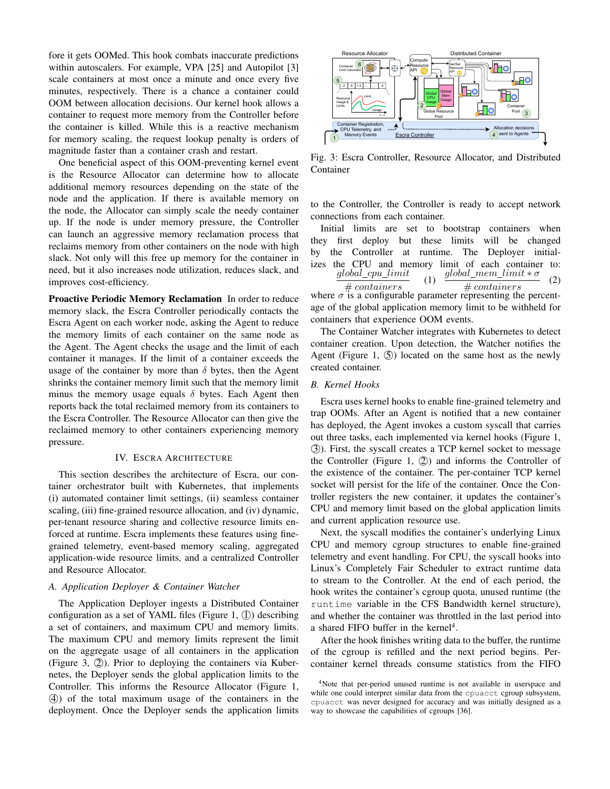fore it gets OOMed. This hook combats inaccurate predictions within autoscalers. For example, VPA [25] and Autopilot [3] scale containers at most once a minute and once every five minutes, respectively. There is a chance a container could OOM between allocation decisions. Our kernel hook allows a container to request more memory from the Controller before the container is killed. While this is a reactive mechanism for memory scaling, the request lookup penalty is orders of magnitude faster than a container crash and restart.

One beneficial aspect of this OOM-preventing kernel event is the Resource Allocator can determine how to allocate additional memory resources depending on the state of the node and the application. If there is available memory on the node, the Allocator can simply scale the needy container up. If the node is under memory pressure, the Controller can launch an aggressive memory reclamation process that reclaims memory from other containers on the node with high slack. Not only will this free up memory for the container in need, but it also increases node utilization, reduces slack, and improves cost-efficiency.

Proactive Periodic Memory Reclamation In order to reduce memory slack, the Escra Controller periodically contacts the Escra Agent on each worker node, asking the Agent to reduce the memory limits of each container on the same node as the Agent. The Agent checks the usage and the limit of each container it manages. If the limit of a container exceeds the usage of the container by more than  $\delta$  bytes, then the Agent shrinks the container memory limit such that the memory limit minus the memory usage equals  $\delta$  bytes. Each Agent then reports back the total reclaimed memory from its containers to the Escra Controller. The Resource Allocator can then give the reclaimed memory to other containers experiencing memory pressure.

#### IV. ESCRA ARCHITECTURE

This section describes the architecture of Escra, our container orchestrator built with Kubernetes, that implements (i) automated container limit settings, (ii) seamless container scaling, (iii) fine-grained resource allocation, and (iv) dynamic, per-tenant resource sharing and collective resource limits enforced at runtime. Escra implements these features using finegrained telemetry, event-based memory scaling, aggregated application-wide resource limits, and a centralized Controller and Resource Allocator.

# *A. Application Deployer & Container Watcher*

The Application Deployer ingests a Distributed Container configuration as a set of YAML files (Figure 1,  $(1)$ ) describing a set of containers, and maximum CPU and memory limits. The maximum CPU and memory limits represent the limit on the aggregate usage of all containers in the application (Figure 3,  $(2)$ ). Prior to deploying the containers via Kubernetes, the Deployer sends the global application limits to the Controller. This informs the Resource Allocator (Figure 1, ⃝4 ) of the total maximum usage of the containers in the deployment. Once the Deployer sends the application limits



Fig. 3: Escra Controller, Resource Allocator, and Distributed Container

to the Controller, the Controller is ready to accept network connections from each container.

Initial limits are set to bootstrap containers when they first deploy but these limits will be changed by the Controller at runtime. The Deployer initializes the CPU and memory limit of each container to:  $global\_cpu\_limit$  $# *contains*$ (1)  $global\_mem\_limit * \sigma$ # containers (2) where  $\sigma$  is a configurable parameter representing the percentage of the global application memory limit to be withheld for containers that experience OOM events.

The Container Watcher integrates with Kubernetes to detect container creation. Upon detection, the Watcher notifies the Agent (Figure 1,  $(5)$ ) located on the same host as the newly created container.

#### *B. Kernel Hooks*

Escra uses kernel hooks to enable fine-grained telemetry and trap OOMs. After an Agent is notified that a new container has deployed, the Agent invokes a custom syscall that carries out three tasks, each implemented via kernel hooks (Figure 1, ⃝3 ). First, the syscall creates a TCP kernel socket to message the Controller (Figure 1,  $(2)$ ) and informs the Controller of the existence of the container. The per-container TCP kernel socket will persist for the life of the container. Once the Controller registers the new container, it updates the container's CPU and memory limit based on the global application limits and current application resource use.

Next, the syscall modifies the container's underlying Linux CPU and memory cgroup structures to enable fine-grained telemetry and event handling. For CPU, the syscall hooks into Linux's Completely Fair Scheduler to extract runtime data to stream to the Controller. At the end of each period, the hook writes the container's cgroup quota, unused runtime (the runtime variable in the CFS Bandwidth kernel structure), and whether the container was throttled in the last period into a shared FIFO buffer in the kernel<sup>4</sup>.

After the hook finishes writing data to the buffer, the runtime of the cgroup is refilled and the next period begins. Percontainer kernel threads consume statistics from the FIFO

<sup>&</sup>lt;sup>4</sup>Note that per-period unused runtime is not available in userspace and while one could interpret similar data from the cpuacct cgroup subsystem, cpuacct was never designed for accuracy and was initially designed as a way to showcase the capabilities of cgroups [36].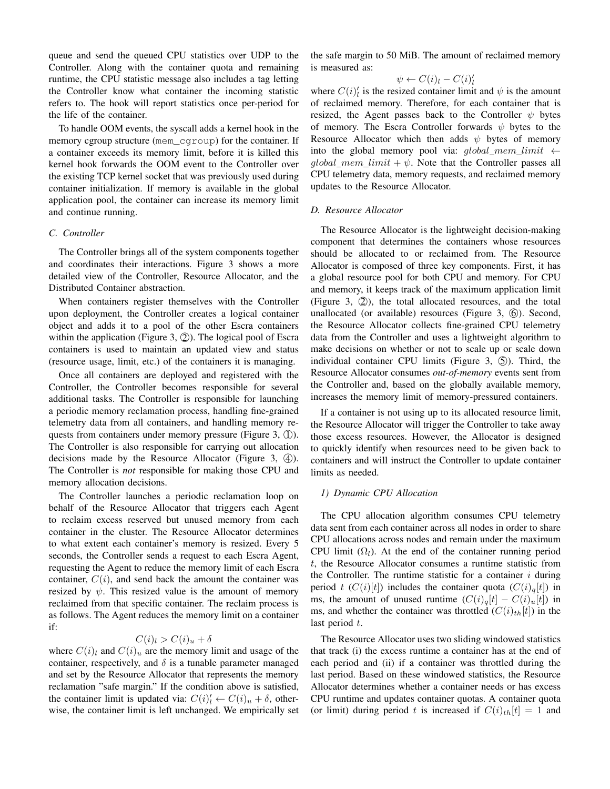queue and send the queued CPU statistics over UDP to the Controller. Along with the container quota and remaining runtime, the CPU statistic message also includes a tag letting the Controller know what container the incoming statistic refers to. The hook will report statistics once per-period for the life of the container.

To handle OOM events, the syscall adds a kernel hook in the memory cgroup structure (mem\_cgroup) for the container. If a container exceeds its memory limit, before it is killed this kernel hook forwards the OOM event to the Controller over the existing TCP kernel socket that was previously used during container initialization. If memory is available in the global application pool, the container can increase its memory limit and continue running.

#### *C. Controller*

The Controller brings all of the system components together and coordinates their interactions. Figure 3 shows a more detailed view of the Controller, Resource Allocator, and the Distributed Container abstraction.

When containers register themselves with the Controller upon deployment, the Controller creates a logical container object and adds it to a pool of the other Escra containers within the application (Figure 3,  $(2)$ ). The logical pool of Escra containers is used to maintain an updated view and status (resource usage, limit, etc.) of the containers it is managing.

Once all containers are deployed and registered with the Controller, the Controller becomes responsible for several additional tasks. The Controller is responsible for launching a periodic memory reclamation process, handling fine-grained telemetry data from all containers, and handling memory requests from containers under memory pressure (Figure  $3$ ,  $(1)$ ). The Controller is also responsible for carrying out allocation decisions made by the Resource Allocator (Figure 3,  $(4)$ ). The Controller is *not* responsible for making those CPU and memory allocation decisions.

The Controller launches a periodic reclamation loop on behalf of the Resource Allocator that triggers each Agent to reclaim excess reserved but unused memory from each container in the cluster. The Resource Allocator determines to what extent each container's memory is resized. Every 5 seconds, the Controller sends a request to each Escra Agent, requesting the Agent to reduce the memory limit of each Escra container,  $C(i)$ , and send back the amount the container was resized by  $\psi$ . This resized value is the amount of memory reclaimed from that specific container. The reclaim process is as follows. The Agent reduces the memory limit on a container if:

# $C(i)_l > C(i)_u + \delta$

where  $C(i)_l$  and  $C(i)_u$  are the memory limit and usage of the container, respectively, and  $\delta$  is a tunable parameter managed and set by the Resource Allocator that represents the memory reclamation "safe margin." If the condition above is satisfied, the container limit is updated via:  $C(i)'_l \leftarrow C(i)_u + \delta$ , otherwise, the container limit is left unchanged. We empirically set

the safe margin to 50 MiB. The amount of reclaimed memory is measured as:

$$
\psi \leftarrow C(i)_l - C(i)_l'
$$

where  $C(i)_{i}^{t}$  is the resized container limit and  $\psi$  is the amount of reclaimed memory. Therefore, for each container that is resized, the Agent passes back to the Controller  $\psi$  bytes of memory. The Escra Controller forwards  $\psi$  bytes to the Resource Allocator which then adds  $\psi$  bytes of memory into the global memory pool via:  $global\_mem\_limit \leftarrow$ global\_mem\_limit +  $\psi$ . Note that the Controller passes all CPU telemetry data, memory requests, and reclaimed memory updates to the Resource Allocator.

#### *D. Resource Allocator*

The Resource Allocator is the lightweight decision-making component that determines the containers whose resources should be allocated to or reclaimed from. The Resource Allocator is composed of three key components. First, it has a global resource pool for both CPU and memory. For CPU and memory, it keeps track of the maximum application limit (Figure 3,  $(2)$ ), the total allocated resources, and the total unallocated (or available) resources (Figure 3,  $\circled{6}$ ). Second, the Resource Allocator collects fine-grained CPU telemetry data from the Controller and uses a lightweight algorithm to make decisions on whether or not to scale up or scale down individual container CPU limits (Figure 3,  $\circledS$ ). Third, the Resource Allocator consumes *out-of-memory* events sent from the Controller and, based on the globally available memory, increases the memory limit of memory-pressured containers.

If a container is not using up to its allocated resource limit, the Resource Allocator will trigger the Controller to take away those excess resources. However, the Allocator is designed to quickly identify when resources need to be given back to containers and will instruct the Controller to update container limits as needed.

# *1) Dynamic CPU Allocation*

The CPU allocation algorithm consumes CPU telemetry data sent from each container across all nodes in order to share CPU allocations across nodes and remain under the maximum CPU limit  $(\Omega_l)$ . At the end of the container running period t, the Resource Allocator consumes a runtime statistic from the Controller. The runtime statistic for a container  $i$  during period t  $(C(i)[t])$  includes the container quota  $(C(i)_q[t])$  in ms, the amount of unused runtime  $(C(i)<sub>a</sub>[t] - C(i)<sub>u</sub>[t])$  in ms, and whether the container was throttled  $(C(i)_{th}[t])$  in the last period  $t$ .

The Resource Allocator uses two sliding windowed statistics that track (i) the excess runtime a container has at the end of each period and (ii) if a container was throttled during the last period. Based on these windowed statistics, the Resource Allocator determines whether a container needs or has excess CPU runtime and updates container quotas. A container quota (or limit) during period t is increased if  $C(i)_{th}[t] = 1$  and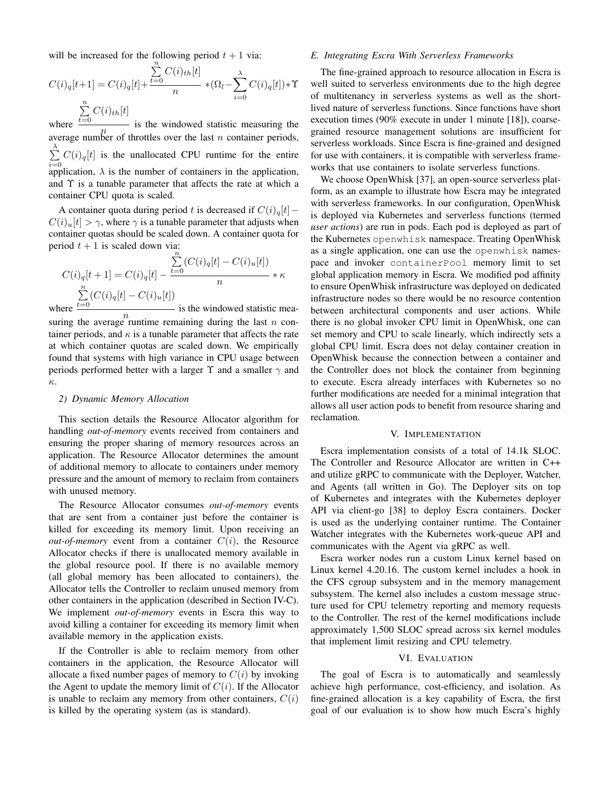will be increased for the following period  $t + 1$  via:

$$
C(i)_q[t+1] = C(i)_q[t] + \frac{\sum\limits_{t=0}^{n} C(i)_{th}[t]}{n} * (\Omega_l - \sum\limits_{i=0}^{\lambda} C(i)_q[t]) * \Upsilon
$$

$$
\sum\limits_{t=0}^{n} C(i)_{th}[t]
$$

where  $\frac{t=0}{t}$  is the windowed statistic measuring the  $n$  average number of throttles over the last *n* container periods,  $\sum_{i=1}^{\lambda} C(i)_{q}[t]$  is the unallocated CPU runtime for the entire *i*=0 application,  $\lambda$  is the number of containers in the application, and  $\Upsilon$  is a tunable parameter that affects the rate at which a container CPU quota is scaled.

A container quota during period t is decreased if  $C(i)_{q}[t] C(i)_{u}[t] > \gamma$ , where  $\gamma$  is a tunable parameter that adjusts when container quotas should be scaled down. A container quota for period  $t + 1$  is scaled down via:

$$
C(i)_q[t+1] = C(i)_q[t] - \frac{\sum_{t=0}^{n} (C(i)_q[t] - C(i)_u[t])}{n} * \kappa
$$
  
\nwhere  $\frac{\sum_{t=0}^{n} (C(i)_q[t] - C(i)_u[t])}{n}$  is the windowed statistic m

n is the windowed statistic measuring the average runtime remaining during the last  $n$  container periods, and  $\kappa$  is a tunable parameter that affects the rate at which container quotas are scaled down. We empirically found that systems with high variance in CPU usage between periods performed better with a larger  $\Upsilon$  and a smaller  $\gamma$  and κ.

#### *2) Dynamic Memory Allocation*

This section details the Resource Allocator algorithm for handling *out-of-memory* events received from containers and ensuring the proper sharing of memory resources across an application. The Resource Allocator determines the amount of additional memory to allocate to containers under memory pressure and the amount of memory to reclaim from containers with unused memory.

The Resource Allocator consumes *out-of-memory* events that are sent from a container just before the container is killed for exceeding its memory limit. Upon receiving an *out-of-memory* event from a container  $C(i)$ , the Resource Allocator checks if there is unallocated memory available in the global resource pool. If there is no available memory (all global memory has been allocated to containers), the Allocator tells the Controller to reclaim unused memory from other containers in the application (described in Section IV-C). We implement *out-of-memory* events in Escra this way to avoid killing a container for exceeding its memory limit when available memory in the application exists.

If the Controller is able to reclaim memory from other containers in the application, the Resource Allocator will allocate a fixed number pages of memory to  $C(i)$  by invoking the Agent to update the memory limit of  $C(i)$ . If the Allocator is unable to reclaim any memory from other containers,  $C(i)$ is killed by the operating system (as is standard).

# *E. Integrating Escra With Serverless Frameworks*

The fine-grained approach to resource allocation in Escra is well suited to serverless environments due to the high degree of multitenancy in serverless systems as well as the shortlived nature of serverless functions. Since functions have short execution times (90% execute in under 1 minute [18]), coarsegrained resource management solutions are insufficient for serverless workloads. Since Escra is fine-grained and designed for use with containers, it is compatible with serverless frameworks that use containers to isolate serverless functions.

We choose OpenWhisk [37], an open-source serverless platform, as an example to illustrate how Escra may be integrated with serverless frameworks. In our configuration, OpenWhisk is deployed via Kubernetes and serverless functions (termed *user actions*) are run in pods. Each pod is deployed as part of the Kubernetes openwhisk namespace. Treating OpenWhisk as a single application, one can use the openwhisk namespace and invoker containerPool memory limit to set global application memory in Escra. We modified pod affinity to ensure OpenWhisk infrastructure was deployed on dedicated infrastructure nodes so there would be no resource contention between architectural components and user actions. While there is no global invoker CPU limit in OpenWhisk, one can set memory and CPU to scale linearly, which indirectly sets a global CPU limit. Escra does not delay container creation in OpenWhisk because the connection between a container and the Controller does not block the container from beginning to execute. Escra already interfaces with Kubernetes so no further modifications are needed for a minimal integration that allows all user action pods to benefit from resource sharing and reclamation.

#### V. IMPLEMENTATION

Escra implementation consists of a total of 14.1k SLOC. The Controller and Resource Allocator are written in C++ and utilize gRPC to communicate with the Deployer, Watcher, and Agents (all written in Go). The Deployer sits on top of Kubernetes and integrates with the Kubernetes deployer API via client-go [38] to deploy Escra containers. Docker is used as the underlying container runtime. The Container Watcher integrates with the Kubernetes work-queue API and communicates with the Agent via gRPC as well.

Escra worker nodes run a custom Linux kernel based on Linux kernel 4.20.16. The custom kernel includes a hook in the CFS cgroup subsystem and in the memory management subsystem. The kernel also includes a custom message structure used for CPU telemetry reporting and memory requests to the Controller. The rest of the kernel modifications include approximately 1,500 SLOC spread across six kernel modules that implement limit resizing and CPU telemetry.

#### VI. EVALUATION

The goal of Escra is to automatically and seamlessly achieve high performance, cost-efficiency, and isolation. As fine-grained allocation is a key capability of Escra, the first goal of our evaluation is to show how much Escra's highly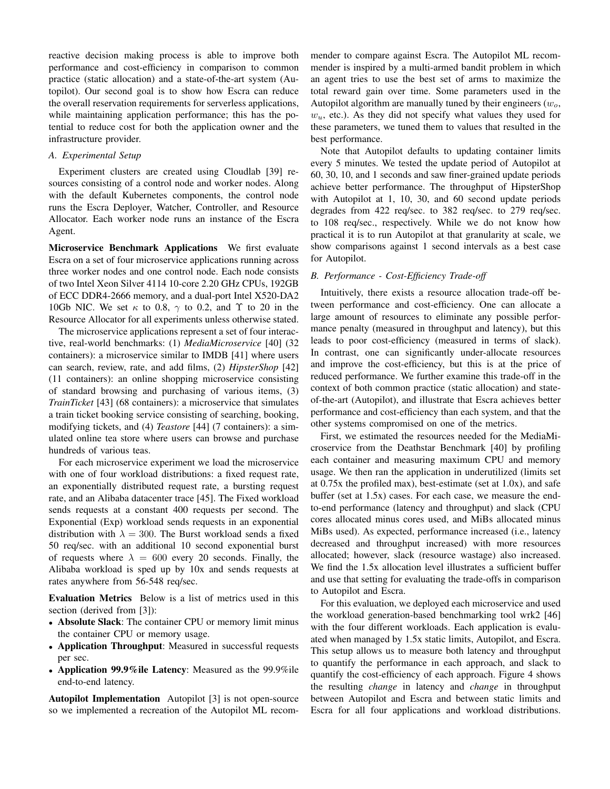reactive decision making process is able to improve both performance and cost-efficiency in comparison to common practice (static allocation) and a state-of-the-art system (Autopilot). Our second goal is to show how Escra can reduce the overall reservation requirements for serverless applications, while maintaining application performance; this has the potential to reduce cost for both the application owner and the infrastructure provider.

# *A. Experimental Setup*

Experiment clusters are created using Cloudlab [39] resources consisting of a control node and worker nodes. Along with the default Kubernetes components, the control node runs the Escra Deployer, Watcher, Controller, and Resource Allocator. Each worker node runs an instance of the Escra Agent.

Microservice Benchmark Applications We first evaluate Escra on a set of four microservice applications running across three worker nodes and one control node. Each node consists of two Intel Xeon Silver 4114 10-core 2.20 GHz CPUs, 192GB of ECC DDR4-2666 memory, and a dual-port Intel X520-DA2 10Gb NIC. We set  $\kappa$  to 0.8,  $\gamma$  to 0.2, and  $\Upsilon$  to 20 in the Resource Allocator for all experiments unless otherwise stated.

The microservice applications represent a set of four interactive, real-world benchmarks: (1) *MediaMicroservice* [40] (32 containers): a microservice similar to IMDB [41] where users can search, review, rate, and add films, (2) *HipsterShop* [42] (11 containers): an online shopping microservice consisting of standard browsing and purchasing of various items, (3) *TrainTicket* [43] (68 containers): a microservice that simulates a train ticket booking service consisting of searching, booking, modifying tickets, and (4) *Teastore* [44] (7 containers): a simulated online tea store where users can browse and purchase hundreds of various teas.

For each microservice experiment we load the microservice with one of four workload distributions: a fixed request rate, an exponentially distributed request rate, a bursting request rate, and an Alibaba datacenter trace [45]. The Fixed workload sends requests at a constant 400 requests per second. The Exponential (Exp) workload sends requests in an exponential distribution with  $\lambda = 300$ . The Burst workload sends a fixed 50 req/sec. with an additional 10 second exponential burst of requests where  $\lambda = 600$  every 20 seconds. Finally, the Alibaba workload is sped up by 10x and sends requests at rates anywhere from 56-548 req/sec.

Evaluation Metrics Below is a list of metrics used in this section (derived from [3]):

- Absolute Slack: The container CPU or memory limit minus the container CPU or memory usage.
- Application Throughput: Measured in successful requests per sec.
- Application 99.9%ile Latency: Measured as the 99.9%ile end-to-end latency.

Autopilot Implementation Autopilot [3] is not open-source so we implemented a recreation of the Autopilot ML recommender to compare against Escra. The Autopilot ML recommender is inspired by a multi-armed bandit problem in which an agent tries to use the best set of arms to maximize the total reward gain over time. Some parameters used in the Autopilot algorithm are manually tuned by their engineers  $(w_0,$  $w<sub>u</sub>$ , etc.). As they did not specify what values they used for these parameters, we tuned them to values that resulted in the best performance.

Note that Autopilot defaults to updating container limits every 5 minutes. We tested the update period of Autopilot at 60, 30, 10, and 1 seconds and saw finer-grained update periods achieve better performance. The throughput of HipsterShop with Autopilot at 1, 10, 30, and 60 second update periods degrades from 422 req/sec. to 382 req/sec. to 279 req/sec. to 108 req/sec., respectively. While we do not know how practical it is to run Autopilot at that granularity at scale, we show comparisons against 1 second intervals as a best case for Autopilot.

#### *B. Performance - Cost-Efficiency Trade-off*

Intuitively, there exists a resource allocation trade-off between performance and cost-efficiency. One can allocate a large amount of resources to eliminate any possible performance penalty (measured in throughput and latency), but this leads to poor cost-efficiency (measured in terms of slack). In contrast, one can significantly under-allocate resources and improve the cost-efficiency, but this is at the price of reduced performance. We further examine this trade-off in the context of both common practice (static allocation) and stateof-the-art (Autopilot), and illustrate that Escra achieves better performance and cost-efficiency than each system, and that the other systems compromised on one of the metrics.

First, we estimated the resources needed for the MediaMicroservice from the Deathstar Benchmark [40] by profiling each container and measuring maximum CPU and memory usage. We then ran the application in underutilized (limits set at 0.75x the profiled max), best-estimate (set at 1.0x), and safe buffer (set at 1.5x) cases. For each case, we measure the endto-end performance (latency and throughput) and slack (CPU cores allocated minus cores used, and MiBs allocated minus MiBs used). As expected, performance increased (i.e., latency decreased and throughput increased) with more resources allocated; however, slack (resource wastage) also increased. We find the 1.5x allocation level illustrates a sufficient buffer and use that setting for evaluating the trade-offs in comparison to Autopilot and Escra.

For this evaluation, we deployed each microservice and used the workload generation-based benchmarking tool wrk2 [46] with the four different workloads. Each application is evaluated when managed by 1.5x static limits, Autopilot, and Escra. This setup allows us to measure both latency and throughput to quantify the performance in each approach, and slack to quantify the cost-efficiency of each approach. Figure 4 shows the resulting *change* in latency and *change* in throughput between Autopilot and Escra and between static limits and Escra for all four applications and workload distributions.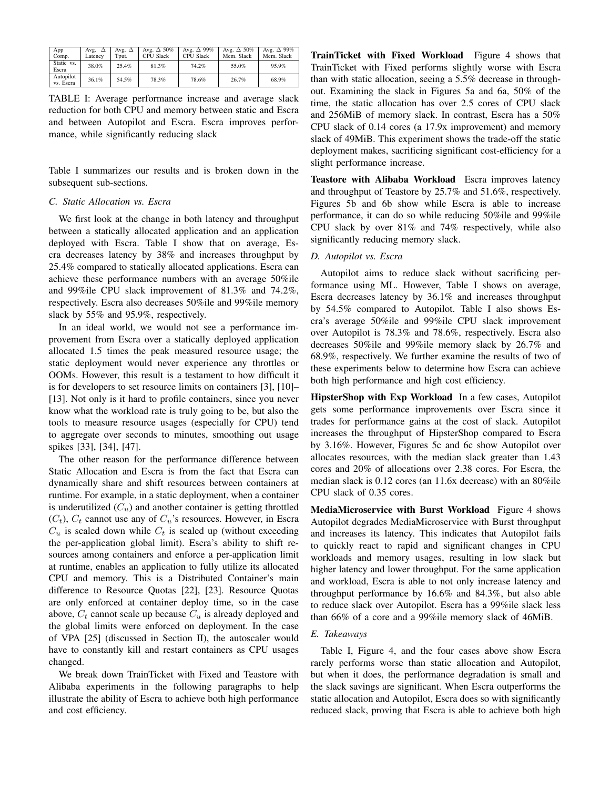| App<br>Comp.           | Avg. $\Delta$<br>Latency | Avg. $\Delta$<br>Tput. | Avg. $\Delta$ 50%<br><b>CPU Slack</b> | Avg. $\Delta$ 99%<br><b>CPU Slack</b> | Avg. $\Delta$ 50%<br>Mem. Slack | Avg. $\Delta$ 99%<br>Mem. Slack |
|------------------------|--------------------------|------------------------|---------------------------------------|---------------------------------------|---------------------------------|---------------------------------|
| Static vs.<br>Escra    | 38.0%                    | 25.4%                  | 81.3%                                 | 74.2%                                 | 55.0%                           | 95.9%                           |
| Autopilot<br>vs. Escra | 36.1%                    | 54.5%                  | 78.3%                                 | 78.6%                                 | 26.7%                           | 68.9%                           |

TABLE I: Average performance increase and average slack reduction for both CPU and memory between static and Escra and between Autopilot and Escra. Escra improves performance, while significantly reducing slack

Table I summarizes our results and is broken down in the subsequent sub-sections.

# *C. Static Allocation vs. Escra*

We first look at the change in both latency and throughput between a statically allocated application and an application deployed with Escra. Table I show that on average, Escra decreases latency by 38% and increases throughput by 25.4% compared to statically allocated applications. Escra can achieve these performance numbers with an average 50%ile and 99%ile CPU slack improvement of 81.3% and 74.2%, respectively. Escra also decreases 50%ile and 99%ile memory slack by 55% and 95.9%, respectively.

In an ideal world, we would not see a performance improvement from Escra over a statically deployed application allocated 1.5 times the peak measured resource usage; the static deployment would never experience any throttles or OOMs. However, this result is a testament to how difficult it is for developers to set resource limits on containers [3], [10]– [13]. Not only is it hard to profile containers, since you never know what the workload rate is truly going to be, but also the tools to measure resource usages (especially for CPU) tend to aggregate over seconds to minutes, smoothing out usage spikes [33], [34], [47].

The other reason for the performance difference between Static Allocation and Escra is from the fact that Escra can dynamically share and shift resources between containers at runtime. For example, in a static deployment, when a container is underutilized  $(C_u)$  and another container is getting throttled  $(C_t)$ ,  $C_t$  cannot use any of  $C_u$ 's resources. However, in Escra  $C_u$  is scaled down while  $C_t$  is scaled up (without exceeding the per-application global limit). Escra's ability to shift resources among containers and enforce a per-application limit at runtime, enables an application to fully utilize its allocated CPU and memory. This is a Distributed Container's main difference to Resource Quotas [22], [23]. Resource Quotas are only enforced at container deploy time, so in the case above,  $C_t$  cannot scale up because  $C_u$  is already deployed and the global limits were enforced on deployment. In the case of VPA [25] (discussed in Section II), the autoscaler would have to constantly kill and restart containers as CPU usages changed.

We break down TrainTicket with Fixed and Teastore with Alibaba experiments in the following paragraphs to help illustrate the ability of Escra to achieve both high performance and cost efficiency.

TrainTicket with Fixed Workload Figure 4 shows that TrainTicket with Fixed performs slightly worse with Escra than with static allocation, seeing a 5.5% decrease in throughout. Examining the slack in Figures 5a and 6a, 50% of the time, the static allocation has over 2.5 cores of CPU slack and 256MiB of memory slack. In contrast, Escra has a 50% CPU slack of 0.14 cores (a 17.9x improvement) and memory slack of 49MiB. This experiment shows the trade-off the static deployment makes, sacrificing significant cost-efficiency for a slight performance increase.

Teastore with Alibaba Workload Escra improves latency and throughput of Teastore by 25.7% and 51.6%, respectively. Figures 5b and 6b show while Escra is able to increase performance, it can do so while reducing 50%ile and 99%ile CPU slack by over 81% and 74% respectively, while also significantly reducing memory slack.

# *D. Autopilot vs. Escra*

Autopilot aims to reduce slack without sacrificing performance using ML. However, Table I shows on average, Escra decreases latency by 36.1% and increases throughput by 54.5% compared to Autopilot. Table I also shows Escra's average 50%ile and 99%ile CPU slack improvement over Autopilot is 78.3% and 78.6%, respectively. Escra also decreases 50%ile and 99%ile memory slack by 26.7% and 68.9%, respectively. We further examine the results of two of these experiments below to determine how Escra can achieve both high performance and high cost efficiency.

HipsterShop with Exp Workload In a few cases, Autopilot gets some performance improvements over Escra since it trades for performance gains at the cost of slack. Autopilot increases the throughput of HipsterShop compared to Escra by 3.16%. However, Figures 5c and 6c show Autopilot over allocates resources, with the median slack greater than 1.43 cores and 20% of allocations over 2.38 cores. For Escra, the median slack is 0.12 cores (an 11.6x decrease) with an 80%ile CPU slack of 0.35 cores.

MediaMicroservice with Burst Workload Figure 4 shows Autopilot degrades MediaMicroservice with Burst throughput and increases its latency. This indicates that Autopilot fails to quickly react to rapid and significant changes in CPU workloads and memory usages, resulting in low slack but higher latency and lower throughput. For the same application and workload, Escra is able to not only increase latency and throughput performance by 16.6% and 84.3%, but also able to reduce slack over Autopilot. Escra has a 99%ile slack less than 66% of a core and a 99%ile memory slack of 46MiB.

# *E. Takeaways*

Table I, Figure 4, and the four cases above show Escra rarely performs worse than static allocation and Autopilot, but when it does, the performance degradation is small and the slack savings are significant. When Escra outperforms the static allocation and Autopilot, Escra does so with significantly reduced slack, proving that Escra is able to achieve both high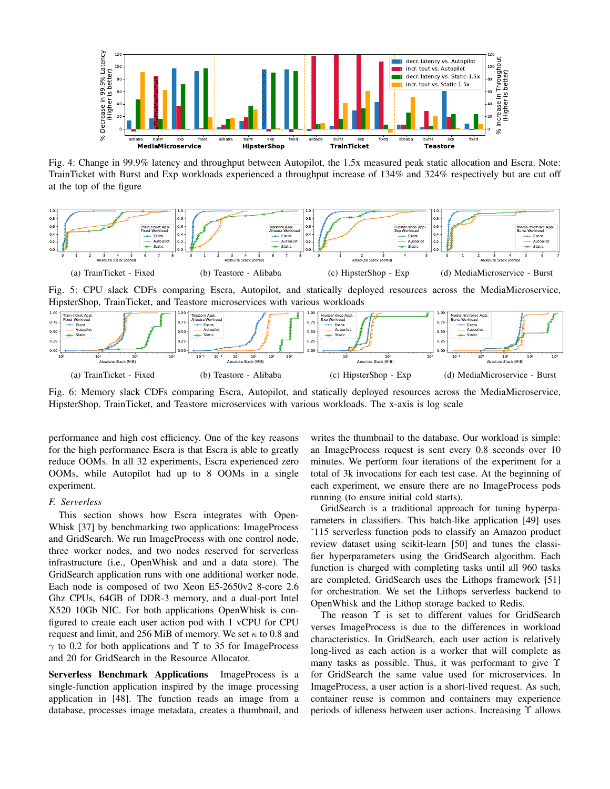

Fig. 4: Change in 99.9% latency and throughput between Autopilot, the 1.5x measured peak static allocation and Escra. Note: TrainTicket with Burst and Exp workloads experienced a throughput increase of 134% and 324% respectively but are cut off at the top of the figure



Fig. 5: CPU slack CDFs comparing Escra, Autopilot, and statically deployed resources across the MediaMicroservice, HipsterShop, TrainTicket, and Teastore microservices with various workloads



Fig. 6: Memory slack CDFs comparing Escra, Autopilot, and statically deployed resources across the MediaMicroservice, HipsterShop, TrainTicket, and Teastore microservices with various workloads. The x-axis is log scale

performance and high cost efficiency. One of the key reasons for the high performance Escra is that Escra is able to greatly reduce OOMs. In all 32 experiments, Escra experienced zero OOMs, while Autopilot had up to 8 OOMs in a single experiment.

#### *F. Serverless*

This section shows how Escra integrates with Open-Whisk [37] by benchmarking two applications: ImageProcess and GridSearch. We run ImageProcess with one control node, three worker nodes, and two nodes reserved for serverless infrastructure (i.e., OpenWhisk and and a data store). The GridSearch application runs with one additional worker node. Each node is composed of two Xeon E5-2650v2 8-core 2.6 Ghz CPUs, 64GB of DDR-3 memory, and a dual-port Intel X520 10Gb NIC. For both applications OpenWhisk is configured to create each user action pod with 1 vCPU for CPU request and limit, and 256 MiB of memory. We set  $\kappa$  to 0.8 and  $\gamma$  to 0.2 for both applications and  $\Upsilon$  to 35 for ImageProcess and 20 for GridSearch in the Resource Allocator.

Serverless Benchmark Applications ImageProcess is a single-function application inspired by the image processing application in [48]. The function reads an image from a database, processes image metadata, creates a thumbnail, and writes the thumbnail to the database. Our workload is simple: an ImageProcess request is sent every 0.8 seconds over 10 minutes. We perform four iterations of the experiment for a total of 3k invocations for each test case. At the beginning of each experiment, we ensure there are no ImageProcess pods running (to ensure initial cold starts).

GridSearch is a traditional approach for tuning hyperparameters in classifiers. This batch-like application [49] uses ˜115 serverless function pods to classify an Amazon product review dataset using scikit-learn [50] and tunes the classifier hyperparameters using the GridSearch algorithm. Each function is charged with completing tasks until all 960 tasks are completed. GridSearch uses the Lithops framework [51] for orchestration. We set the Lithops serverless backend to OpenWhisk and the Lithop storage backed to Redis.

The reason Υ is set to different values for GridSearch verses ImageProcess is due to the differences in workload characteristics. In GridSearch, each user action is relatively long-lived as each action is a worker that will complete as many tasks as possible. Thus, it was performant to give Υ for GridSearch the same value used for microservices. In ImageProcess, a user action is a short-lived request. As such, container reuse is common and containers may experience periods of idleness between user actions. Increasing Υ allows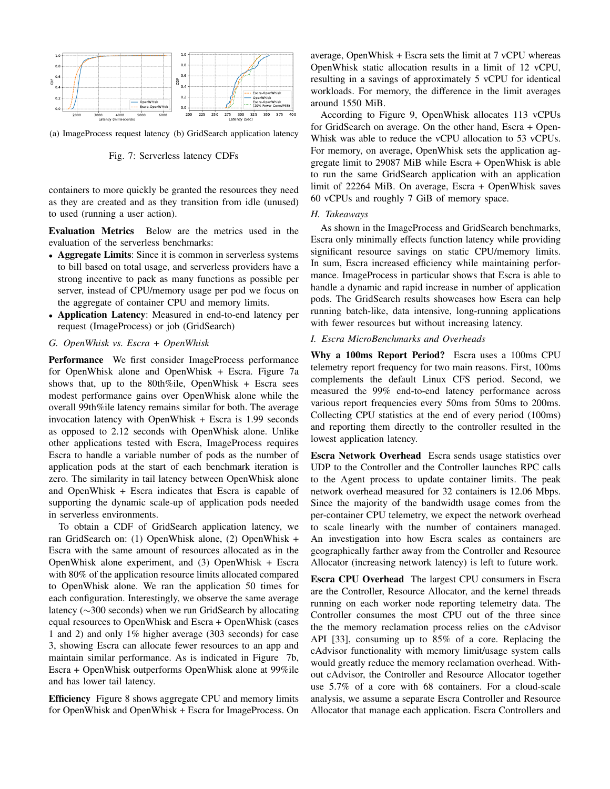

(a) ImageProcess request latency (b) GridSearch application latency

Fig. 7: Serverless latency CDFs

containers to more quickly be granted the resources they need as they are created and as they transition from idle (unused) to used (running a user action).

Evaluation Metrics Below are the metrics used in the evaluation of the serverless benchmarks:

- Aggregate Limits: Since it is common in serverless systems to bill based on total usage, and serverless providers have a strong incentive to pack as many functions as possible per server, instead of CPU/memory usage per pod we focus on the aggregate of container CPU and memory limits.
- Application Latency: Measured in end-to-end latency per request (ImageProcess) or job (GridSearch)
- *G. OpenWhisk vs. Escra + OpenWhisk*

Performance We first consider ImageProcess performance for OpenWhisk alone and OpenWhisk + Escra. Figure 7a shows that, up to the 80th%ile, OpenWhisk + Escra sees modest performance gains over OpenWhisk alone while the overall 99th%ile latency remains similar for both. The average invocation latency with OpenWhisk + Escra is 1.99 seconds as opposed to 2.12 seconds with OpenWhisk alone. Unlike other applications tested with Escra, ImageProcess requires Escra to handle a variable number of pods as the number of application pods at the start of each benchmark iteration is zero. The similarity in tail latency between OpenWhisk alone and OpenWhisk + Escra indicates that Escra is capable of supporting the dynamic scale-up of application pods needed in serverless environments.

To obtain a CDF of GridSearch application latency, we ran GridSearch on: (1) OpenWhisk alone, (2) OpenWhisk + Escra with the same amount of resources allocated as in the OpenWhisk alone experiment, and (3) OpenWhisk + Escra with 80% of the application resource limits allocated compared to OpenWhisk alone. We ran the application 50 times for each configuration. Interestingly, we observe the same average latency (∼300 seconds) when we run GridSearch by allocating equal resources to OpenWhisk and Escra + OpenWhisk (cases 1 and 2) and only 1% higher average (303 seconds) for case 3, showing Escra can allocate fewer resources to an app and maintain similar performance. As is indicated in Figure 7b, Escra + OpenWhisk outperforms OpenWhisk alone at 99%ile and has lower tail latency.

Efficiency Figure 8 shows aggregate CPU and memory limits for OpenWhisk and OpenWhisk + Escra for ImageProcess. On average, OpenWhisk + Escra sets the limit at 7 vCPU whereas OpenWhisk static allocation results in a limit of 12 vCPU, resulting in a savings of approximately 5 vCPU for identical workloads. For memory, the difference in the limit averages around 1550 MiB.

According to Figure 9, OpenWhisk allocates 113 vCPUs for GridSearch on average. On the other hand, Escra + Open-Whisk was able to reduce the vCPU allocation to 53 vCPUs. For memory, on average, OpenWhisk sets the application aggregate limit to 29087 MiB while Escra + OpenWhisk is able to run the same GridSearch application with an application limit of 22264 MiB. On average, Escra + OpenWhisk saves 60 vCPUs and roughly 7 GiB of memory space.

# *H. Takeaways*

As shown in the ImageProcess and GridSearch benchmarks, Escra only minimally effects function latency while providing significant resource savings on static CPU/memory limits. In sum, Escra increased efficiency while maintaining performance. ImageProcess in particular shows that Escra is able to handle a dynamic and rapid increase in number of application pods. The GridSearch results showcases how Escra can help running batch-like, data intensive, long-running applications with fewer resources but without increasing latency.

# *I. Escra MicroBenchmarks and Overheads*

Why a 100ms Report Period? Escra uses a 100ms CPU telemetry report frequency for two main reasons. First, 100ms complements the default Linux CFS period. Second, we measured the 99% end-to-end latency performance across various report frequencies every 50ms from 50ms to 200ms. Collecting CPU statistics at the end of every period (100ms) and reporting them directly to the controller resulted in the lowest application latency.

Escra Network Overhead Escra sends usage statistics over UDP to the Controller and the Controller launches RPC calls to the Agent process to update container limits. The peak network overhead measured for 32 containers is 12.06 Mbps. Since the majority of the bandwidth usage comes from the per-container CPU telemetry, we expect the network overhead to scale linearly with the number of containers managed. An investigation into how Escra scales as containers are geographically farther away from the Controller and Resource Allocator (increasing network latency) is left to future work.

Escra CPU Overhead The largest CPU consumers in Escra are the Controller, Resource Allocator, and the kernel threads running on each worker node reporting telemetry data. The Controller consumes the most CPU out of the three since the the memory reclamation process relies on the cAdvisor API [33], consuming up to 85% of a core. Replacing the cAdvisor functionality with memory limit/usage system calls would greatly reduce the memory reclamation overhead. Without cAdvisor, the Controller and Resource Allocator together use 5.7% of a core with 68 containers. For a cloud-scale analysis, we assume a separate Escra Controller and Resource Allocator that manage each application. Escra Controllers and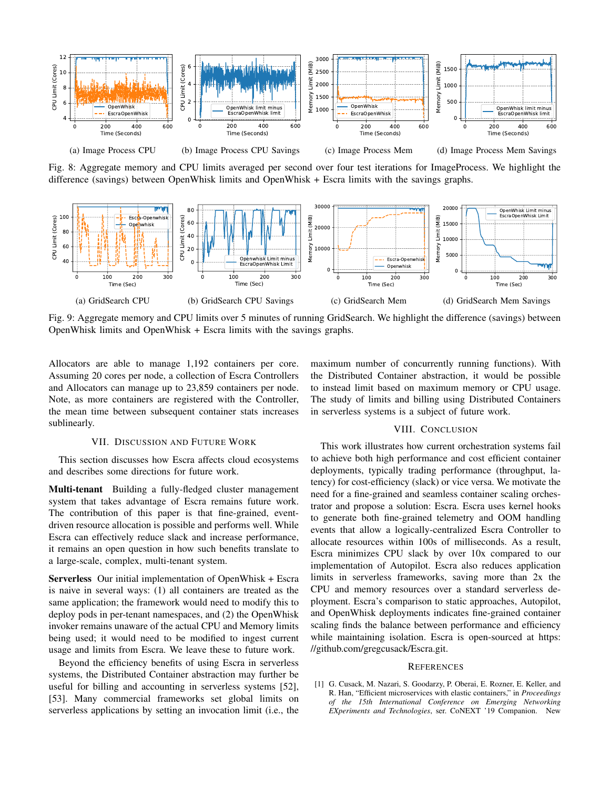

Fig. 8: Aggregate memory and CPU limits averaged per second over four test iterations for ImageProcess. We highlight the difference (savings) between OpenWhisk limits and OpenWhisk + Escra limits with the savings graphs.



Fig. 9: Aggregate memory and CPU limits over 5 minutes of running GridSearch. We highlight the difference (savings) between OpenWhisk limits and OpenWhisk + Escra limits with the savings graphs.

Allocators are able to manage 1,192 containers per core. Assuming 20 cores per node, a collection of Escra Controllers and Allocators can manage up to 23,859 containers per node. Note, as more containers are registered with the Controller, the mean time between subsequent container stats increases sublinearly.

# VII. DISCUSSION AND FUTURE WORK

This section discusses how Escra affects cloud ecosystems and describes some directions for future work.

Multi-tenant Building a fully-fledged cluster management system that takes advantage of Escra remains future work. The contribution of this paper is that fine-grained, eventdriven resource allocation is possible and performs well. While Escra can effectively reduce slack and increase performance, it remains an open question in how such benefits translate to a large-scale, complex, multi-tenant system.

Serverless Our initial implementation of OpenWhisk + Escra is naive in several ways: (1) all containers are treated as the same application; the framework would need to modify this to deploy pods in per-tenant namespaces, and (2) the OpenWhisk invoker remains unaware of the actual CPU and Memory limits being used; it would need to be modified to ingest current usage and limits from Escra. We leave these to future work.

Beyond the efficiency benefits of using Escra in serverless systems, the Distributed Container abstraction may further be useful for billing and accounting in serverless systems [52], [53]. Many commercial frameworks set global limits on serverless applications by setting an invocation limit (i.e., the maximum number of concurrently running functions). With the Distributed Container abstraction, it would be possible to instead limit based on maximum memory or CPU usage. The study of limits and billing using Distributed Containers in serverless systems is a subject of future work.

# VIII. CONCLUSION

This work illustrates how current orchestration systems fail to achieve both high performance and cost efficient container deployments, typically trading performance (throughput, latency) for cost-efficiency (slack) or vice versa. We motivate the need for a fine-grained and seamless container scaling orchestrator and propose a solution: Escra. Escra uses kernel hooks to generate both fine-grained telemetry and OOM handling events that allow a logically-centralized Escra Controller to allocate resources within 100s of milliseconds. As a result, Escra minimizes CPU slack by over 10x compared to our implementation of Autopilot. Escra also reduces application limits in serverless frameworks, saving more than 2x the CPU and memory resources over a standard serverless deployment. Escra's comparison to static approaches, Autopilot, and OpenWhisk deployments indicates fine-grained container scaling finds the balance between performance and efficiency while maintaining isolation. Escra is open-sourced at https: //github.com/gregcusack/Escra.git.

#### **REFERENCES**

[1] G. Cusack, M. Nazari, S. Goodarzy, P. Oberai, E. Rozner, E. Keller, and R. Han, "Efficient microservices with elastic containers," in *Proceedings of the 15th International Conference on Emerging Networking EXperiments and Technologies*, ser. CoNEXT '19 Companion. New